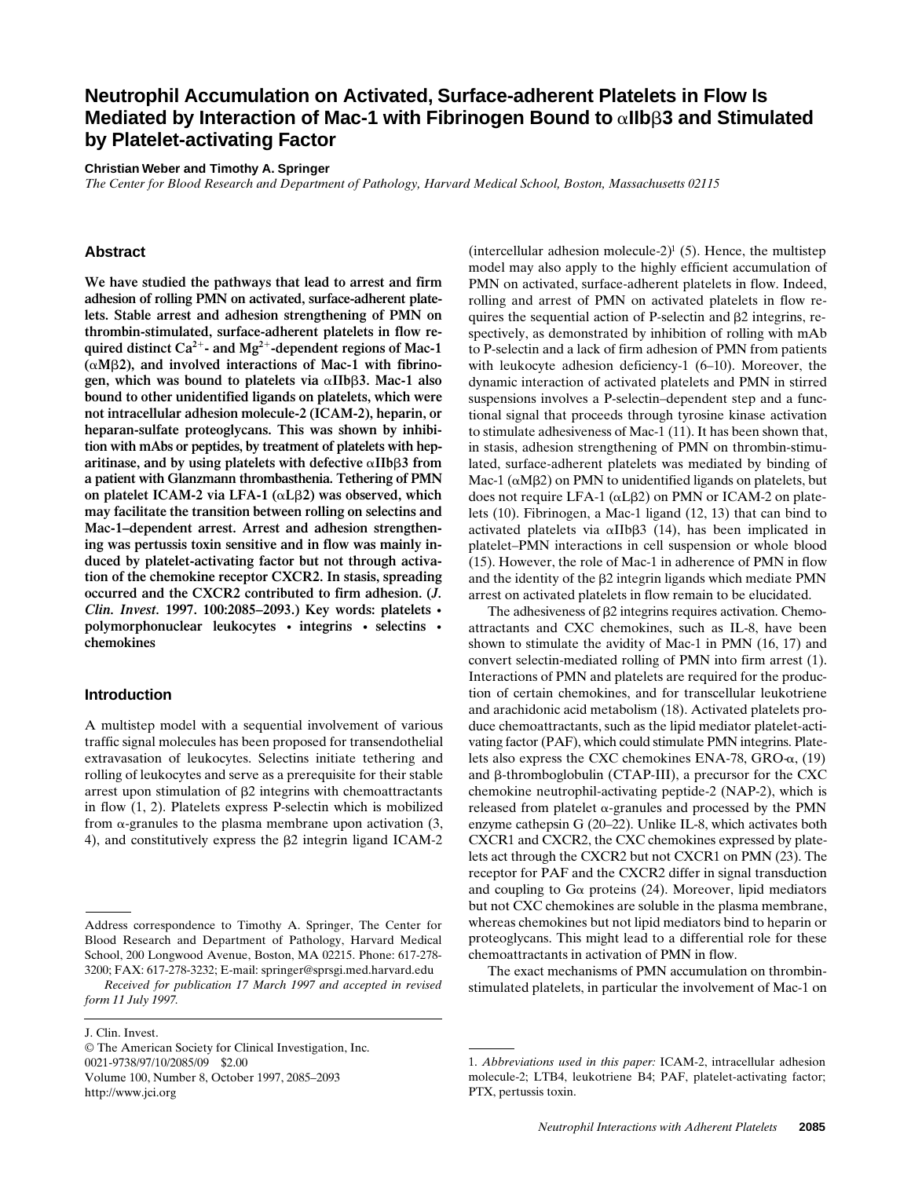# **Neutrophil Accumulation on Activated, Surface-adherent Platelets in Flow Is Mediated by Interaction of Mac-1 with Fibrinogen Bound to** a**IIb**b**3 and Stimulated by Platelet-activating Factor**

#### **Christian Weber and Timothy A. Springer**

*The Center for Blood Research and Department of Pathology, Harvard Medical School, Boston, Massachusetts 02115*

## **Abstract**

**We have studied the pathways that lead to arrest and firm adhesion of rolling PMN on activated, surface-adherent platelets. Stable arrest and adhesion strengthening of PMN on thrombin-stimulated, surface-adherent platelets in flow re**quired distinct  $Ca^{2+}$ - and  $Mg^{2+}$ -dependent regions of Mac-1  $(\alpha M\beta2)$ , and involved interactions of Mac-1 with fibrino**gen, which was bound to platelets via**  $\alpha$ **IIb** $\beta$ **3. Mac-1 also bound to other unidentified ligands on platelets, which were not intracellular adhesion molecule-2 (ICAM-2), heparin, or heparan-sulfate proteoglycans. This was shown by inhibition with mAbs or peptides, by treatment of platelets with hep**aritinase, and by using platelets with defective  $\alpha$ IIb $\beta$ 3 from **a patient with Glanzmann thrombasthenia. Tethering of PMN on platelet ICAM-2 via LFA-1 (**a**L**b**2) was observed, which may facilitate the transition between rolling on selectins and Mac-1–dependent arrest. Arrest and adhesion strengthening was pertussis toxin sensitive and in flow was mainly induced by platelet-activating factor but not through activation of the chemokine receptor CXCR2. In stasis, spreading occurred and the CXCR2 contributed to firm adhesion. (***J. Clin. Invest.* **1997. 100:2085–2093.) Key words: platelets • polymorphonuclear leukocytes • integrins • selectins • chemokines**

## **Introduction**

A multistep model with a sequential involvement of various traffic signal molecules has been proposed for transendothelial extravasation of leukocytes. Selectins initiate tethering and rolling of leukocytes and serve as a prerequisite for their stable arrest upon stimulation of  $\beta$ 2 integrins with chemoattractants in flow (1, 2). Platelets express P-selectin which is mobilized from  $\alpha$ -granules to the plasma membrane upon activation  $(3, 1)$ 4), and constitutively express the  $\beta$ 2 integrin ligand ICAM-2

*Received for publication 17 March 1997 and accepted in revised form 11 July 1997.*

J. Clin. Invest.

© The American Society for Clinical Investigation, Inc. 0021-9738/97/10/2085/09 \$2.00 Volume 100, Number 8, October 1997, 2085–2093 http://www.jci.org

 $(intercellular adhesion molecule-2)<sup>1</sup>$  (5). Hence, the multistep model may also apply to the highly efficient accumulation of PMN on activated, surface-adherent platelets in flow. Indeed, rolling and arrest of PMN on activated platelets in flow requires the sequential action of P-selectin and  $\beta$ 2 integrins, respectively, as demonstrated by inhibition of rolling with mAb to P-selectin and a lack of firm adhesion of PMN from patients with leukocyte adhesion deficiency-1 (6–10). Moreover, the dynamic interaction of activated platelets and PMN in stirred suspensions involves a P-selectin–dependent step and a functional signal that proceeds through tyrosine kinase activation to stimulate adhesiveness of Mac-1 (11). It has been shown that, in stasis, adhesion strengthening of PMN on thrombin-stimulated, surface-adherent platelets was mediated by binding of Mac-1 ( $\alpha$ M $\beta$ 2) on PMN to unidentified ligands on platelets, but does not require LFA-1 ( $\alpha$ L $\beta$ 2) on PMN or ICAM-2 on platelets (10). Fibrinogen, a Mac-1 ligand (12, 13) that can bind to activated platelets via  $\alpha$ IIb $\beta$ 3 (14), has been implicated in platelet–PMN interactions in cell suspension or whole blood (15). However, the role of Mac-1 in adherence of PMN in flow and the identity of the  $\beta$ 2 integrin ligands which mediate PMN arrest on activated platelets in flow remain to be elucidated.

The adhesiveness of  $\beta$ 2 integrins requires activation. Chemoattractants and CXC chemokines, such as IL-8, have been shown to stimulate the avidity of Mac-1 in PMN (16, 17) and convert selectin-mediated rolling of PMN into firm arrest (1). Interactions of PMN and platelets are required for the production of certain chemokines, and for transcellular leukotriene and arachidonic acid metabolism (18). Activated platelets produce chemoattractants, such as the lipid mediator platelet-activating factor (PAF), which could stimulate PMN integrins. Platelets also express the CXC chemokines ENA-78,  $GRO_{\alpha}$ , (19) and  $\beta$ -thromboglobulin (CTAP-III), a precursor for the CXC chemokine neutrophil-activating peptide-2 (NAP-2), which is released from platelet  $\alpha$ -granules and processed by the PMN enzyme cathepsin G (20–22). Unlike IL-8, which activates both CXCR1 and CXCR2, the CXC chemokines expressed by platelets act through the CXCR2 but not CXCR1 on PMN (23). The receptor for PAF and the CXCR2 differ in signal transduction and coupling to  $G\alpha$  proteins (24). Moreover, lipid mediators but not CXC chemokines are soluble in the plasma membrane, whereas chemokines but not lipid mediators bind to heparin or proteoglycans. This might lead to a differential role for these chemoattractants in activation of PMN in flow.

The exact mechanisms of PMN accumulation on thrombinstimulated platelets, in particular the involvement of Mac-1 on

Address correspondence to Timothy A. Springer, The Center for Blood Research and Department of Pathology, Harvard Medical School, 200 Longwood Avenue, Boston, MA 02215. Phone: 617-278- 3200; FAX: 617-278-3232; E-mail: springer@sprsgi.med.harvard.edu

<sup>1.</sup> *Abbreviations used in this paper:* ICAM-2, intracellular adhesion molecule-2; LTB4, leukotriene B4; PAF, platelet-activating factor; PTX, pertussis toxin.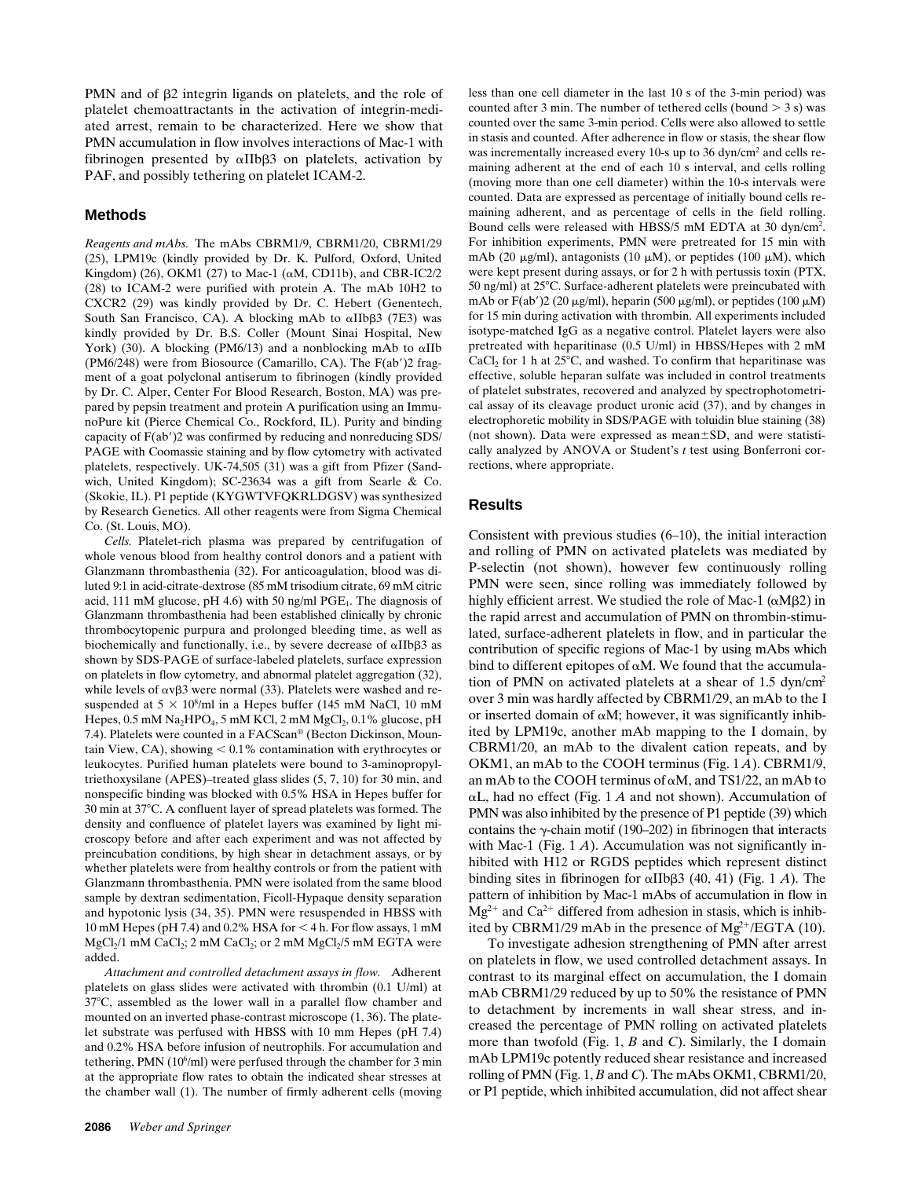PMN and of  $\beta$ 2 integrin ligands on platelets, and the role of platelet chemoattractants in the activation of integrin-mediated arrest, remain to be characterized. Here we show that PMN accumulation in flow involves interactions of Mac-1 with fibrinogen presented by  $\alpha$ IIb $\beta$ 3 on platelets, activation by PAF, and possibly tethering on platelet ICAM-2.

## **Methods**

*Reagents and mAbs.* The mAbs CBRM1/9, CBRM1/20, CBRM1/29 (25), LPM19c (kindly provided by Dr. K. Pulford, Oxford, United Kingdom) (26), OKM1 (27) to Mac-1 ( $\alpha$ M, CD11b), and CBR-IC2/2 (28) to ICAM-2 were purified with protein A. The mAb 10H2 to CXCR2 (29) was kindly provided by Dr. C. Hebert (Genentech, South San Francisco, CA). A blocking mAb to  $\alpha$ IIb $\beta$ 3 (7E3) was kindly provided by Dr. B.S. Coller (Mount Sinai Hospital, New York) (30). A blocking (PM6/13) and a nonblocking mAb to  $\alpha$ IIb (PM6/248) were from Biosource (Camarillo, CA). The  $F(ab')$ 2 fragment of a goat polyclonal antiserum to fibrinogen (kindly provided by Dr. C. Alper, Center For Blood Research, Boston, MA) was prepared by pepsin treatment and protein A purification using an ImmunoPure kit (Pierce Chemical Co., Rockford, IL). Purity and binding capacity of  $F(ab')$ 2 was confirmed by reducing and nonreducing SDS/ PAGE with Coomassie staining and by flow cytometry with activated platelets, respectively. UK-74,505 (31) was a gift from Pfizer (Sandwich, United Kingdom); SC-23634 was a gift from Searle & Co. (Skokie, IL). P1 peptide (KYGWTVFQKRLDGSV) was synthesized by Research Genetics. All other reagents were from Sigma Chemical Co. (St. Louis, MO).

*Cells.* Platelet-rich plasma was prepared by centrifugation of whole venous blood from healthy control donors and a patient with Glanzmann thrombasthenia (32). For anticoagulation, blood was diluted 9:1 in acid-citrate-dextrose (85 mM trisodium citrate, 69 mM citric acid, 111 mM glucose, pH 4.6) with 50 ng/ml PGE<sub>1</sub>. The diagnosis of Glanzmann thrombasthenia had been established clinically by chronic thrombocytopenic purpura and prolonged bleeding time, as well as biochemically and functionally, i.e., by severe decrease of  $\alpha$ IIb $\beta$ 3 as shown by SDS-PAGE of surface-labeled platelets, surface expression on platelets in flow cytometry, and abnormal platelet aggregation (32), while levels of  $\alpha \nu \beta$ 3 were normal (33). Platelets were washed and resuspended at  $5 \times 10^8$ /ml in a Hepes buffer (145 mM NaCl, 10 mM Hepes, 0.5 mM Na<sub>2</sub>HPO<sub>4</sub>, 5 mM KCl, 2 mM MgCl<sub>2</sub>, 0.1% glucose, pH 7.4). Platelets were counted in a FACScan® (Becton Dickinson, Mountain View, CA), showing  $< 0.1\%$  contamination with erythrocytes or leukocytes. Purified human platelets were bound to 3-aminopropyltriethoxysilane (APES)–treated glass slides (5, 7, 10) for 30 min, and nonspecific binding was blocked with 0.5% HSA in Hepes buffer for 30 min at 37°C. A confluent layer of spread platelets was formed. The density and confluence of platelet layers was examined by light microscopy before and after each experiment and was not affected by preincubation conditions, by high shear in detachment assays, or by whether platelets were from healthy controls or from the patient with Glanzmann thrombasthenia. PMN were isolated from the same blood sample by dextran sedimentation, Ficoll-Hypaque density separation and hypotonic lysis (34, 35). PMN were resuspended in HBSS with 10 mM Hepes (pH 7.4) and 0.2% HSA for  $<$  4 h. For flow assays, 1 mM  $MgCl<sub>2</sub>/1$  mM CaCl<sub>2</sub>; 2 mM CaCl<sub>2</sub>; or 2 mM  $MgCl<sub>2</sub>/5$  mM EGTA were added.

*Attachment and controlled detachment assays in flow.* Adherent platelets on glass slides were activated with thrombin (0.1 U/ml) at  $37^{\circ}$ C, assembled as the lower wall in a parallel flow chamber and mounted on an inverted phase-contrast microscope (1, 36). The platelet substrate was perfused with HBSS with 10 mm Hepes (pH 7.4) and 0.2% HSA before infusion of neutrophils. For accumulation and tethering, PMN  $(10<sup>6</sup>/ml)$  were perfused through the chamber for 3 min at the appropriate flow rates to obtain the indicated shear stresses at the chamber wall (1). The number of firmly adherent cells (moving less than one cell diameter in the last 10 s of the 3-min period) was counted after 3 min. The number of tethered cells (bound  $>$  3 s) was counted over the same 3-min period. Cells were also allowed to settle in stasis and counted. After adherence in flow or stasis, the shear flow was incrementally increased every 10-s up to 36 dyn/cm<sup>2</sup> and cells remaining adherent at the end of each 10 s interval, and cells rolling (moving more than one cell diameter) within the 10-s intervals were counted. Data are expressed as percentage of initially bound cells remaining adherent, and as percentage of cells in the field rolling. Bound cells were released with HBSS/5 mM EDTA at 30 dyn/cm2 . For inhibition experiments, PMN were pretreated for 15 min with mAb (20  $\mu$ g/ml), antagonists (10  $\mu$ M), or peptides (100  $\mu$ M), which were kept present during assays, or for 2 h with pertussis toxin (PTX, 50 ng/ml) at  $25^{\circ}$ C. Surface-adherent platelets were preincubated with mAb or  $F(ab')2$  (20  $\mu$ g/ml), heparin (500  $\mu$ g/ml), or peptides (100  $\mu$ M) for 15 min during activation with thrombin. All experiments included isotype-matched IgG as a negative control. Platelet layers were also pretreated with heparitinase (0.5 U/ml) in HBSS/Hepes with 2 mM  $CaCl<sub>2</sub>$  for 1 h at 25°C, and washed. To confirm that heparitinase was effective, soluble heparan sulfate was included in control treatments of platelet substrates, recovered and analyzed by spectrophotometrical assay of its cleavage product uronic acid (37), and by changes in electrophoretic mobility in SDS/PAGE with toluidin blue staining (38) (not shown). Data were expressed as mean $\pm$ SD, and were statistically analyzed by ANOVA or Student's *t* test using Bonferroni corrections, where appropriate.

### **Results**

Consistent with previous studies (6–10), the initial interaction and rolling of PMN on activated platelets was mediated by P-selectin (not shown), however few continuously rolling PMN were seen, since rolling was immediately followed by highly efficient arrest. We studied the role of Mac-1 ( $\alpha$ M $\beta$ 2) in the rapid arrest and accumulation of PMN on thrombin-stimulated, surface-adherent platelets in flow, and in particular the contribution of specific regions of Mac-1 by using mAbs which bind to different epitopes of  $\alpha$ M. We found that the accumulation of PMN on activated platelets at a shear of 1.5 dyn/cm2 over 3 min was hardly affected by CBRM1/29, an mAb to the I or inserted domain of  $\alpha M$ ; however, it was significantly inhibited by LPM19c, another mAb mapping to the I domain, by CBRM1/20, an mAb to the divalent cation repeats, and by OKM1, an mAb to the COOH terminus (Fig. 1 *A*). CBRM1/9, an mAb to the COOH terminus of  $\alpha$ M, and TS1/22, an mAb to  $\alpha$ L, had no effect (Fig. 1 *A* and not shown). Accumulation of PMN was also inhibited by the presence of P1 peptide (39) which contains the  $\gamma$ -chain motif (190–202) in fibrinogen that interacts with Mac-1 (Fig. 1 *A*). Accumulation was not significantly inhibited with H12 or RGDS peptides which represent distinct binding sites in fibrinogen for  $\alpha$ IIb $\beta$ 3 (40, 41) (Fig. 1 *A*). The pattern of inhibition by Mac-1 mAbs of accumulation in flow in  $Mg^{2+}$  and Ca<sup>2+</sup> differed from adhesion in stasis, which is inhibited by CBRM1/29 mAb in the presence of  $Mg^{2+}/EGTA$  (10).

To investigate adhesion strengthening of PMN after arrest on platelets in flow, we used controlled detachment assays. In contrast to its marginal effect on accumulation, the I domain mAb CBRM1/29 reduced by up to 50% the resistance of PMN to detachment by increments in wall shear stress, and increased the percentage of PMN rolling on activated platelets more than twofold (Fig. 1, *B* and *C*). Similarly, the I domain mAb LPM19c potently reduced shear resistance and increased rolling of PMN (Fig. 1, *B* and *C*). The mAbs OKM1, CBRM1/20, or P1 peptide, which inhibited accumulation, did not affect shear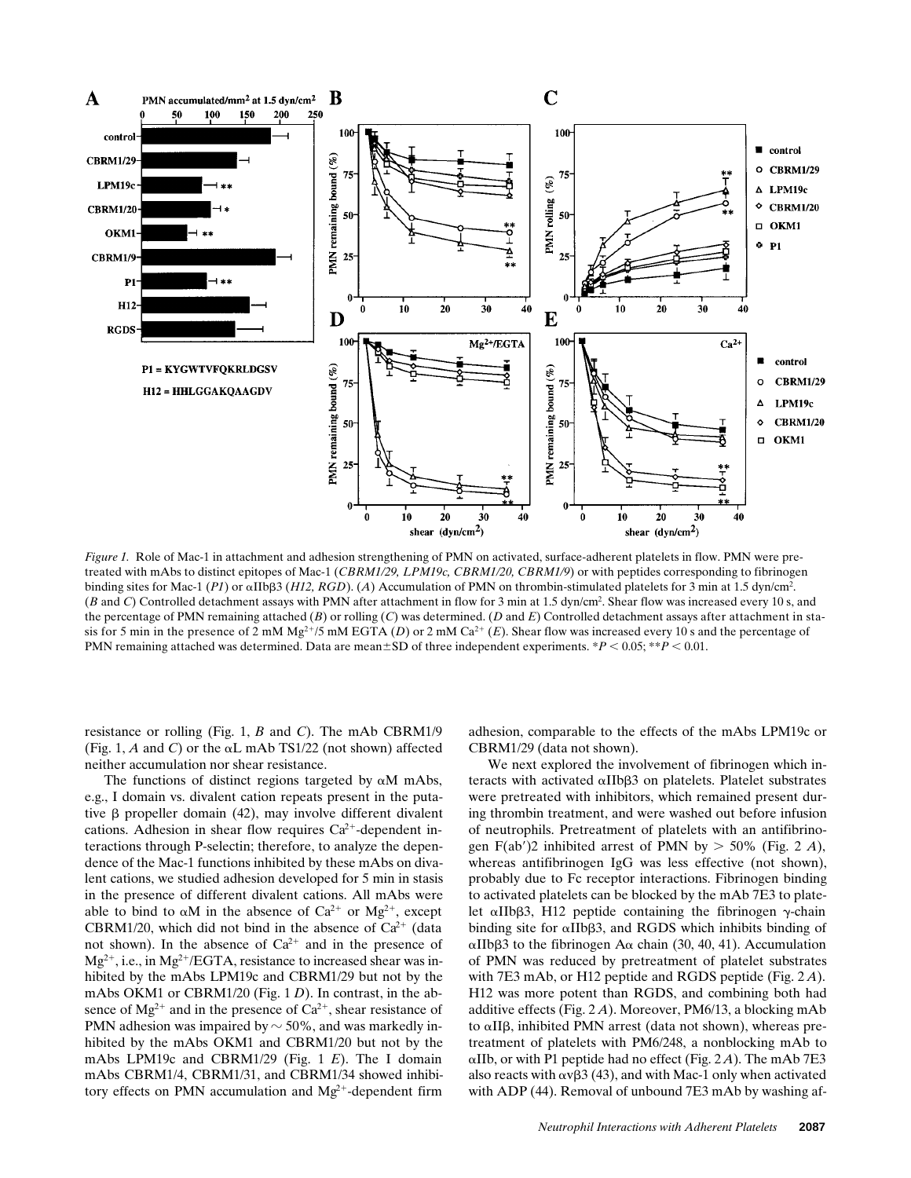

*Figure 1.* Role of Mac-1 in attachment and adhesion strengthening of PMN on activated, surface-adherent platelets in flow. PMN were pretreated with mAbs to distinct epitopes of Mac-1 (*CBRM1/29, LPM19c, CBRM1/20, CBRM1/9*) or with peptides corresponding to fibrinogen binding sites for Mac-1 (*P1*) or aIIbb3 (*H12, RGD*). (*A*) Accumulation of PMN on thrombin-stimulated platelets for 3 min at 1.5 dyn/cm2 . (*B* and *C*) Controlled detachment assays with PMN after attachment in flow for 3 min at 1.5 dyn/cm2 . Shear flow was increased every 10 s, and the percentage of PMN remaining attached (*B*) or rolling (*C*) was determined. (*D* and *E*) Controlled detachment assays after attachment in stasis for 5 min in the presence of 2 mM Mg<sup>2+</sup>/5 mM EGTA (*D*) or 2 mM Ca<sup>2+</sup> (*E*). Shear flow was increased every 10 s and the percentage of PMN remaining attached was determined. Data are mean $\pm$ SD of three independent experiments. \**P* < 0.05; \*\**P* < 0.01.

resistance or rolling (Fig. 1, *B* and *C*). The mAb CBRM1/9 (Fig. 1,  $A$  and  $C$ ) or the  $\alpha L$  mAb TS1/22 (not shown) affected neither accumulation nor shear resistance.

The functions of distinct regions targeted by  $\alpha$ M mAbs, e.g., I domain vs. divalent cation repeats present in the putative  $\beta$  propeller domain (42), may involve different divalent cations. Adhesion in shear flow requires  $Ca^{2+}$ -dependent interactions through P-selectin; therefore, to analyze the dependence of the Mac-1 functions inhibited by these mAbs on divalent cations, we studied adhesion developed for 5 min in stasis in the presence of different divalent cations. All mAbs were able to bind to  $\alpha M$  in the absence of  $Ca^{2+}$  or  $Mg^{2+}$ , except CBRM1/20, which did not bind in the absence of  $Ca^{2+}$  (data not shown). In the absence of  $Ca^{2+}$  and in the presence of  $Mg^{2+}$ , i.e., in  $Mg^{2+}/EGTA$ , resistance to increased shear was inhibited by the mAbs LPM19c and CBRM1/29 but not by the mAbs OKM1 or CBRM1/20 (Fig. 1 *D*). In contrast, in the absence of  $Mg^{2+}$  and in the presence of  $Ca^{2+}$ , shear resistance of PMN adhesion was impaired by  $\sim$  50%, and was markedly inhibited by the mAbs OKM1 and CBRM1/20 but not by the mAbs LPM19c and CBRM1/29 (Fig. 1 *E*). The I domain mAbs CBRM1/4, CBRM1/31, and CBRM1/34 showed inhibitory effects on PMN accumulation and  $Mg^{2+}$ -dependent firm

adhesion, comparable to the effects of the mAbs LPM19c or CBRM1/29 (data not shown).

We next explored the involvement of fibrinogen which interacts with activated  $\alpha$ IIb $\beta$ 3 on platelets. Platelet substrates were pretreated with inhibitors, which remained present during thrombin treatment, and were washed out before infusion of neutrophils. Pretreatment of platelets with an antifibrinogen F(ab')2 inhibited arrest of PMN by  $>$  50% (Fig. 2 *A*), whereas antifibrinogen IgG was less effective (not shown), probably due to Fc receptor interactions. Fibrinogen binding to activated platelets can be blocked by the mAb 7E3 to platelet  $\alpha$ IIb $\beta$ 3, H12 peptide containing the fibrinogen  $\gamma$ -chain binding site for  $\alpha$ IIb $\beta$ 3, and RGDS which inhibits binding of  $\alpha$ IIb $\beta$ 3 to the fibrinogen A $\alpha$  chain (30, 40, 41). Accumulation of PMN was reduced by pretreatment of platelet substrates with 7E3 mAb, or H12 peptide and RGDS peptide (Fig. 2 *A*). H12 was more potent than RGDS, and combining both had additive effects (Fig. 2 *A*). Moreover, PM6/13, a blocking mAb to  $\alpha$ II $\beta$ , inhibited PMN arrest (data not shown), whereas pretreatment of platelets with PM6/248, a nonblocking mAb to  $\alpha$ IIb, or with P1 peptide had no effect (Fig. 2A). The mAb 7E3 also reacts with  $\alpha \nu \beta 3$  (43), and with Mac-1 only when activated with ADP (44). Removal of unbound 7E3 mAb by washing af-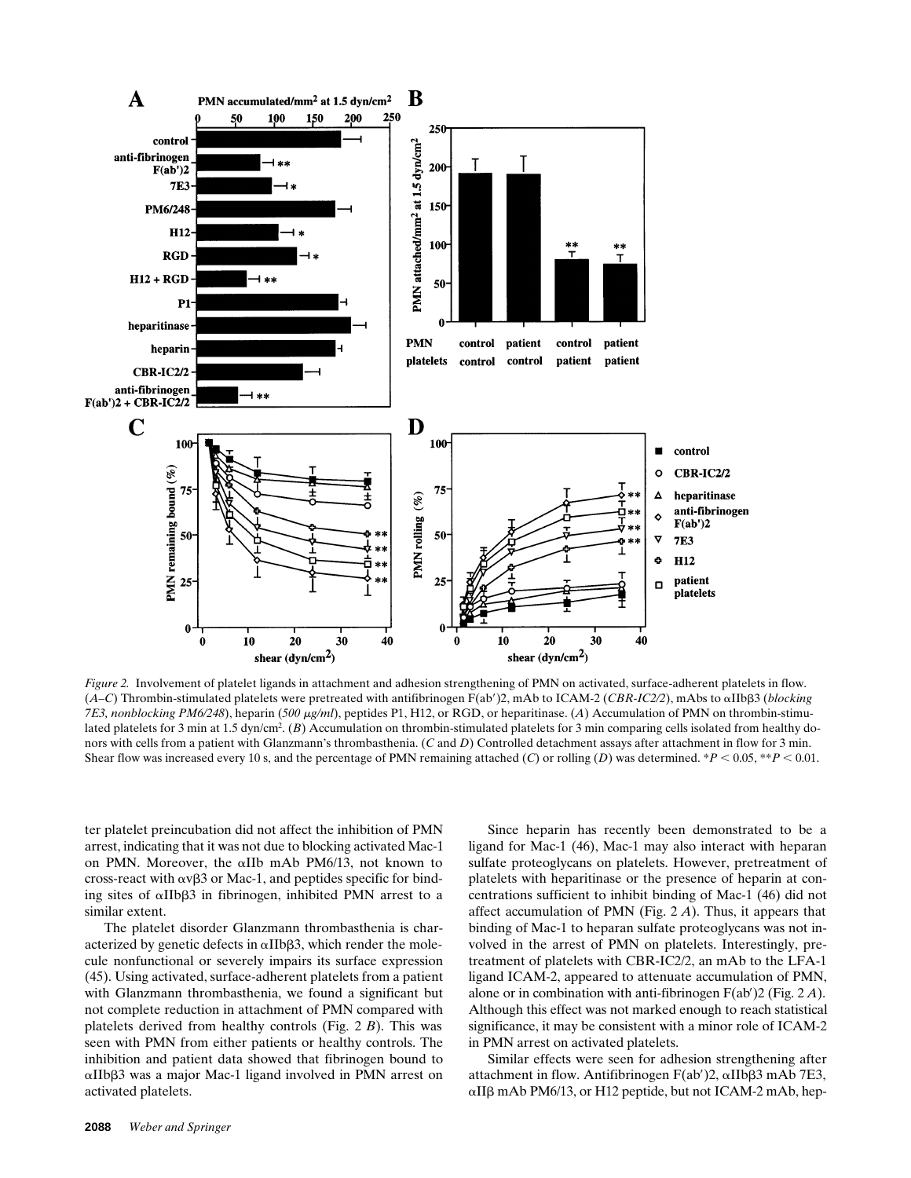

*Figure 2.* Involvement of platelet ligands in attachment and adhesion strengthening of PMN on activated, surface-adherent platelets in flow. (*A–C*) Thrombin-stimulated platelets were pretreated with antifibrinogen F(ab')2, mAb to ICAM-2 (*CBR-IC2/2*), mAbs to  $\alpha$ IIb $\beta$ 3 (*blocking 7E3, nonblocking PM6/248*), heparin (*500 μg/ml*), peptides P1, H12, or RGD, or heparitinase. (*A*) Accumulation of PMN on thrombin-stimulated platelets for 3 min at 1.5 dyn/cm<sup>2</sup>. (*B*) Accumulation on thrombin-stimulated platelets for 3 min comparing cells isolated from healthy donors with cells from a patient with Glanzmann's thrombasthenia. (*C* and *D*) Controlled detachment assays after attachment in flow for 3 min. Shear flow was increased every 10 s, and the percentage of PMN remaining attached (*C*) or rolling (*D*) was determined. \**P* < 0.05, \*\**P* < 0.01.

ter platelet preincubation did not affect the inhibition of PMN arrest, indicating that it was not due to blocking activated Mac-1 on PMN. Moreover, the aIIb mAb PM6/13, not known to cross-react with  $\alpha v\beta3$  or Mac-1, and peptides specific for binding sites of  $\alpha$ IIb $\beta$ 3 in fibrinogen, inhibited PMN arrest to a similar extent.

The platelet disorder Glanzmann thrombasthenia is characterized by genetic defects in  $\alpha$ IIb $\beta$ 3, which render the molecule nonfunctional or severely impairs its surface expression (45). Using activated, surface-adherent platelets from a patient with Glanzmann thrombasthenia, we found a significant but not complete reduction in attachment of PMN compared with platelets derived from healthy controls (Fig. 2 *B*). This was seen with PMN from either patients or healthy controls. The inhibition and patient data showed that fibrinogen bound to  $\alpha$ IIb $\beta$ 3 was a major Mac-1 ligand involved in PMN arrest on activated platelets.

Since heparin has recently been demonstrated to be a ligand for Mac-1 (46), Mac-1 may also interact with heparan sulfate proteoglycans on platelets. However, pretreatment of platelets with heparitinase or the presence of heparin at concentrations sufficient to inhibit binding of Mac-1 (46) did not affect accumulation of PMN (Fig. 2 *A*). Thus, it appears that binding of Mac-1 to heparan sulfate proteoglycans was not involved in the arrest of PMN on platelets. Interestingly, pretreatment of platelets with CBR-IC2/2, an mAb to the LFA-1 ligand ICAM-2, appeared to attenuate accumulation of PMN, alone or in combination with anti-fibrinogen F(ab')2 (Fig. 2 A). Although this effect was not marked enough to reach statistical significance, it may be consistent with a minor role of ICAM-2 in PMN arrest on activated platelets.

Similar effects were seen for adhesion strengthening after attachment in flow. Antifibrinogen  $F(ab')2$ ,  $\alpha$ IIb $\beta$ 3 mAb 7E3,  $\alpha$ II $\beta$  mAb PM6/13, or H12 peptide, but not ICAM-2 mAb, hep-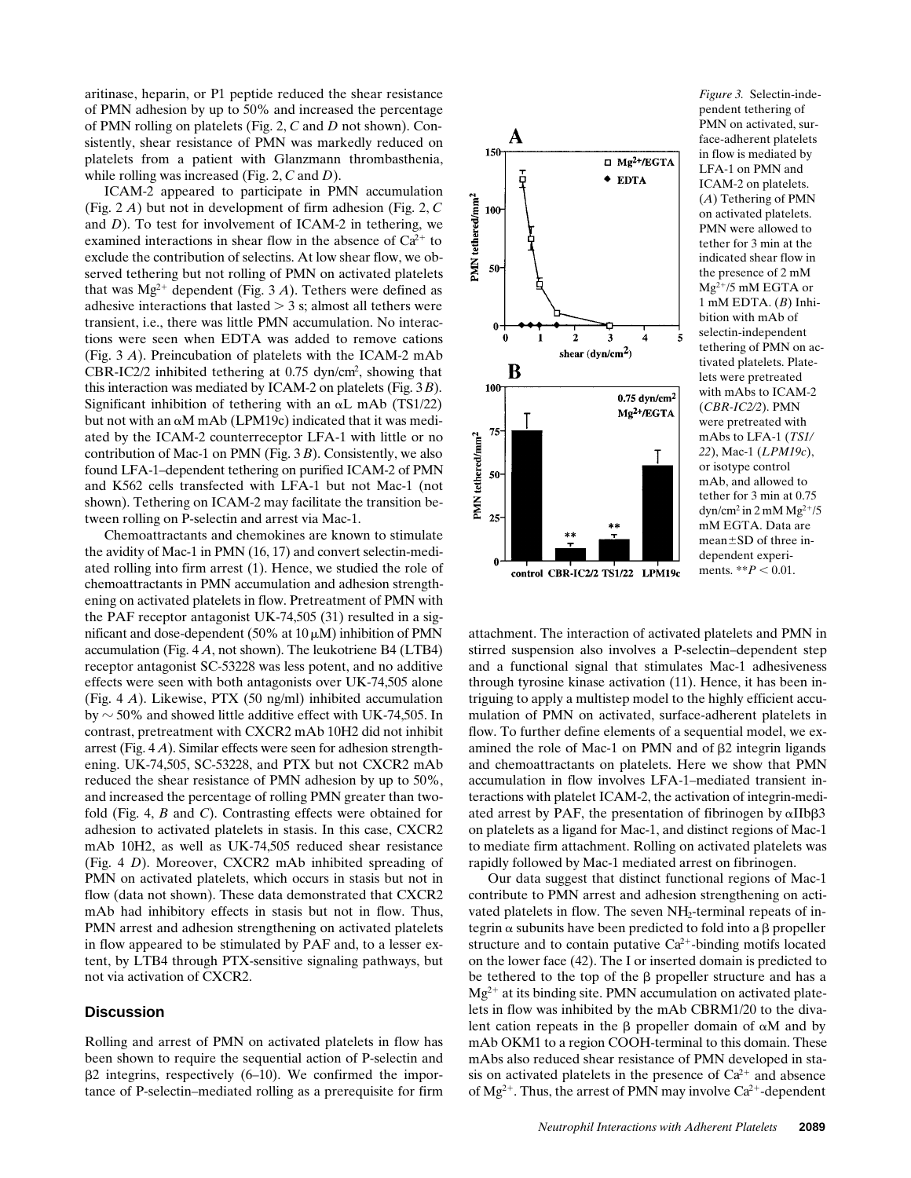aritinase, heparin, or P1 peptide reduced the shear resistance of PMN adhesion by up to 50% and increased the percentage of PMN rolling on platelets (Fig. 2, *C* and *D* not shown). Consistently, shear resistance of PMN was markedly reduced on platelets from a patient with Glanzmann thrombasthenia, while rolling was increased (Fig. 2, *C* and *D*).

ICAM-2 appeared to participate in PMN accumulation (Fig. 2 *A*) but not in development of firm adhesion (Fig. 2, *C* and *D*). To test for involvement of ICAM-2 in tethering, we examined interactions in shear flow in the absence of  $Ca^{2+}$  to exclude the contribution of selectins. At low shear flow, we observed tethering but not rolling of PMN on activated platelets that was  $Mg^{2+}$  dependent (Fig. 3 *A*). Tethers were defined as adhesive interactions that lasted  $>$  3 s; almost all tethers were transient, i.e., there was little PMN accumulation. No interactions were seen when EDTA was added to remove cations (Fig. 3 *A*). Preincubation of platelets with the ICAM-2 mAb CBR-IC2/2 inhibited tethering at 0.75 dyn/cm<sup>2</sup>, showing that this interaction was mediated by ICAM-2 on platelets (Fig. 3 *B*). Significant inhibition of tethering with an  $\alpha$ L mAb (TS1/22) but not with an  $\alpha$ M mAb (LPM19c) indicated that it was mediated by the ICAM-2 counterreceptor LFA-1 with little or no contribution of Mac-1 on PMN (Fig. 3 *B*). Consistently, we also found LFA-1–dependent tethering on purified ICAM-2 of PMN and K562 cells transfected with LFA-1 but not Mac-1 (not shown). Tethering on ICAM-2 may facilitate the transition between rolling on P-selectin and arrest via Mac-1.

Chemoattractants and chemokines are known to stimulate the avidity of Mac-1 in PMN (16, 17) and convert selectin-mediated rolling into firm arrest (1). Hence, we studied the role of chemoattractants in PMN accumulation and adhesion strengthening on activated platelets in flow. Pretreatment of PMN with the PAF receptor antagonist UK-74,505 (31) resulted in a significant and dose-dependent (50% at  $10 \mu M$ ) inhibition of PMN accumulation (Fig. 4 *A*, not shown). The leukotriene B4 (LTB4) receptor antagonist SC-53228 was less potent, and no additive effects were seen with both antagonists over UK-74,505 alone (Fig. 4 *A*). Likewise, PTX (50 ng/ml) inhibited accumulation by  $\sim$  50% and showed little additive effect with UK-74,505. In contrast, pretreatment with CXCR2 mAb 10H2 did not inhibit arrest (Fig. 4 *A*). Similar effects were seen for adhesion strengthening. UK-74,505, SC-53228, and PTX but not CXCR2 mAb reduced the shear resistance of PMN adhesion by up to 50%, and increased the percentage of rolling PMN greater than twofold (Fig. 4, *B* and *C*). Contrasting effects were obtained for adhesion to activated platelets in stasis. In this case, CXCR2 mAb 10H2, as well as UK-74,505 reduced shear resistance (Fig. 4 *D*). Moreover, CXCR2 mAb inhibited spreading of PMN on activated platelets, which occurs in stasis but not in flow (data not shown). These data demonstrated that CXCR2 mAb had inhibitory effects in stasis but not in flow. Thus, PMN arrest and adhesion strengthening on activated platelets in flow appeared to be stimulated by PAF and, to a lesser extent, by LTB4 through PTX-sensitive signaling pathways, but not via activation of CXCR2.

### **Discussion**

Rolling and arrest of PMN on activated platelets in flow has been shown to require the sequential action of P-selectin and  $\beta$ 2 integrins, respectively (6–10). We confirmed the importance of P-selectin–mediated rolling as a prerequisite for firm



*Figure 3.* Selectin-independent tethering of PMN on activated, surface-adherent platelets in flow is mediated by LFA-1 on PMN and ICAM-2 on platelets. (*A*) Tethering of PMN on activated platelets. PMN were allowed to tether for 3 min at the indicated shear flow in the presence of 2 mM  $Mg^{2+}/5$  mM EGTA or 1 mM EDTA. (*B*) Inhibition with mAb of selectin-independent tethering of PMN on activated platelets. Platelets were pretreated with mAbs to ICAM-2 (*CBR-IC2/2*). PMN were pretreated with mAbs to LFA-1 (*TS1/ 22*), Mac-1 (*LPM19c*), or isotype control mAb, and allowed to tether for 3 min at 0.75  $dyn/cm<sup>2</sup>$  in 2 mM Mg<sup>2+</sup>/5 mM EGTA. Data are  $mean \pm SD$  of three independent experiments.  $*$ *\*P* < 0.01.

attachment. The interaction of activated platelets and PMN in stirred suspension also involves a P-selectin–dependent step and a functional signal that stimulates Mac-1 adhesiveness through tyrosine kinase activation (11). Hence, it has been intriguing to apply a multistep model to the highly efficient accumulation of PMN on activated, surface-adherent platelets in flow. To further define elements of a sequential model, we examined the role of Mac-1 on PMN and of  $\beta$ 2 integrin ligands and chemoattractants on platelets. Here we show that PMN accumulation in flow involves LFA-1–mediated transient interactions with platelet ICAM-2, the activation of integrin-mediated arrest by PAF, the presentation of fibrinogen by  $\alpha$ IIb $\beta$ 3 on platelets as a ligand for Mac-1, and distinct regions of Mac-1 to mediate firm attachment. Rolling on activated platelets was rapidly followed by Mac-1 mediated arrest on fibrinogen.

Our data suggest that distinct functional regions of Mac-1 contribute to PMN arrest and adhesion strengthening on activated platelets in flow. The seven  $NH<sub>2</sub>$ -terminal repeats of integrin  $\alpha$  subunits have been predicted to fold into a  $\beta$  propeller structure and to contain putative  $Ca^{2+}$ -binding motifs located on the lower face (42). The I or inserted domain is predicted to be tethered to the top of the  $\beta$  propeller structure and has a  $Mg^{2+}$  at its binding site. PMN accumulation on activated platelets in flow was inhibited by the mAb CBRM1/20 to the divalent cation repeats in the  $\beta$  propeller domain of  $\alpha M$  and by mAb OKM1 to a region COOH-terminal to this domain. These mAbs also reduced shear resistance of PMN developed in stasis on activated platelets in the presence of  $Ca^{2+}$  and absence of  $Mg^{2+}$ . Thus, the arrest of PMN may involve Ca<sup>2+</sup>-dependent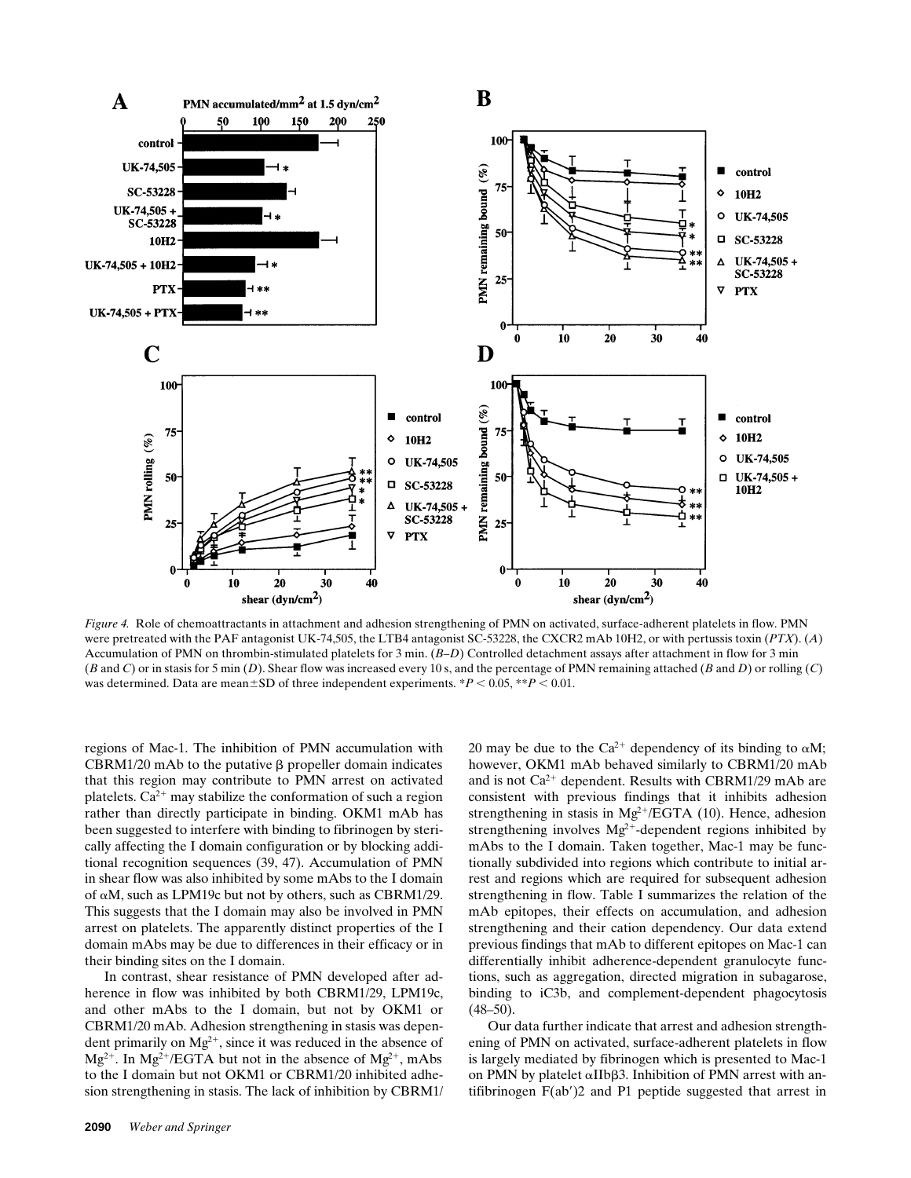

*Figure 4.* Role of chemoattractants in attachment and adhesion strengthening of PMN on activated, surface-adherent platelets in flow. PMN were pretreated with the PAF antagonist UK-74,505, the LTB4 antagonist SC-53228, the CXCR2 mAb 10H2, or with pertussis toxin (*PTX*). (*A*) Accumulation of PMN on thrombin-stimulated platelets for 3 min. (*B–D*) Controlled detachment assays after attachment in flow for 3 min (*B* and *C*) or in stasis for 5 min (*D*). Shear flow was increased every 10 s, and the percentage of PMN remaining attached (*B* and *D*) or rolling (*C*) was determined. Data are mean $\pm$ SD of three independent experiments. \**P* < 0.05, \*\**P* < 0.01.

regions of Mac-1. The inhibition of PMN accumulation with CBRM1/20 mAb to the putative  $\beta$  propeller domain indicates that this region may contribute to PMN arrest on activated platelets.  $Ca^{2+}$  may stabilize the conformation of such a region rather than directly participate in binding. OKM1 mAb has been suggested to interfere with binding to fibrinogen by sterically affecting the I domain configuration or by blocking additional recognition sequences (39, 47). Accumulation of PMN in shear flow was also inhibited by some mAbs to the I domain of  $\alpha$ M, such as LPM19c but not by others, such as CBRM1/29. This suggests that the I domain may also be involved in PMN arrest on platelets. The apparently distinct properties of the I domain mAbs may be due to differences in their efficacy or in their binding sites on the I domain.

In contrast, shear resistance of PMN developed after adherence in flow was inhibited by both CBRM1/29, LPM19c, and other mAbs to the I domain, but not by OKM1 or CBRM1/20 mAb. Adhesion strengthening in stasis was dependent primarily on  $Mg^{2+}$ , since it was reduced in the absence of  $Mg^{2+}$ . In  $Mg^{2+}/EGTA$  but not in the absence of  $Mg^{2+}$ , mAbs to the I domain but not OKM1 or CBRM1/20 inhibited adhesion strengthening in stasis. The lack of inhibition by CBRM1/ 20 may be due to the Ca<sup>2+</sup> dependency of its binding to  $\alpha M$ ; however, OKM1 mAb behaved similarly to CBRM1/20 mAb and is not  $Ca^{2+}$  dependent. Results with CBRM1/29 mAb are consistent with previous findings that it inhibits adhesion strengthening in stasis in  $Mg^{2+}/EGTA$  (10). Hence, adhesion strengthening involves  $Mg^{2+}$ -dependent regions inhibited by mAbs to the I domain. Taken together, Mac-1 may be functionally subdivided into regions which contribute to initial arrest and regions which are required for subsequent adhesion strengthening in flow. Table I summarizes the relation of the mAb epitopes, their effects on accumulation, and adhesion strengthening and their cation dependency. Our data extend previous findings that mAb to different epitopes on Mac-1 can differentially inhibit adherence-dependent granulocyte functions, such as aggregation, directed migration in subagarose, binding to iC3b, and complement-dependent phagocytosis  $(48-50)$ .

Our data further indicate that arrest and adhesion strengthening of PMN on activated, surface-adherent platelets in flow is largely mediated by fibrinogen which is presented to Mac-1 on PMN by platelet  $\alpha$ IIb $\beta$ 3. Inhibition of PMN arrest with antifibrinogen  $F(ab')2$  and P1 peptide suggested that arrest in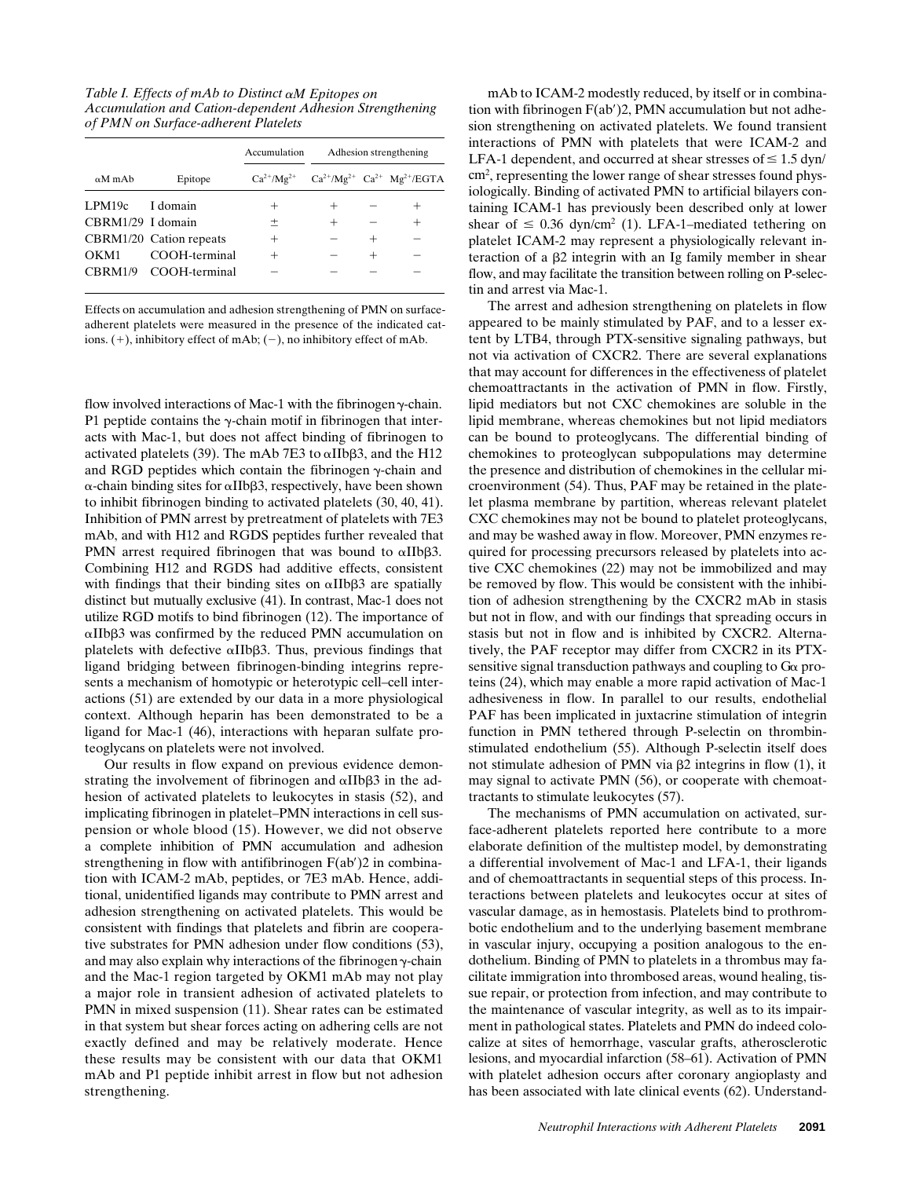*Table I. Effects of mAb to Distinct* a*M Epitopes on Accumulation and Cation-dependent Adhesion Strengthening of PMN on Surface-adherent Platelets*

|                   |                         | Accumulation | Adhesion strengthening |        |                                                              |
|-------------------|-------------------------|--------------|------------------------|--------|--------------------------------------------------------------|
| $\alpha$ M mAb    | Epitope                 |              |                        |        | $Ca^{2+}/Mg^{2+}$ $Ca^{2+}/Mg^{2+}$ $Ca^{2+}$ $Mg^{2+}/EGTA$ |
| LPM19c            | I domain                | +            | $^+$                   |        |                                                              |
| CBRM1/29 I domain |                         | $^{+}$       | $^{+}$                 |        |                                                              |
|                   | CBRM1/20 Cation repeats | ┿            |                        |        |                                                              |
| OKM1              | COOH-terminal           |              |                        | $^{+}$ |                                                              |
|                   | CBRM1/9 COOH-terminal   |              |                        |        |                                                              |
|                   |                         |              |                        |        |                                                              |

Effects on accumulation and adhesion strengthening of PMN on surfaceadherent platelets were measured in the presence of the indicated cations.  $(+)$ , inhibitory effect of mAb;  $(-)$ , no inhibitory effect of mAb.

flow involved interactions of Mac-1 with the fibrinogen  $\gamma$ -chain. P1 peptide contains the  $\gamma$ -chain motif in fibrinogen that interacts with Mac-1, but does not affect binding of fibrinogen to activated platelets (39). The mAb 7E3 to  $\alpha$ IIb $\beta$ 3, and the H12 and RGD peptides which contain the fibrinogen  $\gamma$ -chain and  $\alpha$ -chain binding sites for  $\alpha$ IIb $\beta$ 3, respectively, have been shown to inhibit fibrinogen binding to activated platelets (30, 40, 41). Inhibition of PMN arrest by pretreatment of platelets with 7E3 mAb, and with H12 and RGDS peptides further revealed that PMN arrest required fibrinogen that was bound to  $\alpha$ IIb $\beta$ 3. Combining H12 and RGDS had additive effects, consistent with findings that their binding sites on  $\alpha$ IIb $\beta$ 3 are spatially distinct but mutually exclusive (41). In contrast, Mac-1 does not utilize RGD motifs to bind fibrinogen (12). The importance of αIIbβ3 was confirmed by the reduced PMN accumulation on platelets with defective  $\alpha$ IIb $\beta$ 3. Thus, previous findings that ligand bridging between fibrinogen-binding integrins represents a mechanism of homotypic or heterotypic cell–cell interactions (51) are extended by our data in a more physiological context. Although heparin has been demonstrated to be a ligand for Mac-1 (46), interactions with heparan sulfate proteoglycans on platelets were not involved.

Our results in flow expand on previous evidence demonstrating the involvement of fibrinogen and  $\alpha$ IIb $\beta$ 3 in the adhesion of activated platelets to leukocytes in stasis (52), and implicating fibrinogen in platelet–PMN interactions in cell suspension or whole blood (15). However, we did not observe a complete inhibition of PMN accumulation and adhesion strengthening in flow with antifibrinogen  $F(ab')$ 2 in combination with ICAM-2 mAb, peptides, or 7E3 mAb. Hence, additional, unidentified ligands may contribute to PMN arrest and adhesion strengthening on activated platelets. This would be consistent with findings that platelets and fibrin are cooperative substrates for PMN adhesion under flow conditions (53), and may also explain why interactions of the fibrinogen  $\gamma$ -chain and the Mac-1 region targeted by OKM1 mAb may not play a major role in transient adhesion of activated platelets to PMN in mixed suspension (11). Shear rates can be estimated in that system but shear forces acting on adhering cells are not exactly defined and may be relatively moderate. Hence these results may be consistent with our data that OKM1 mAb and P1 peptide inhibit arrest in flow but not adhesion strengthening.

mAb to ICAM-2 modestly reduced, by itself or in combination with fibrinogen  $F(ab')2$ , PMN accumulation but not adhesion strengthening on activated platelets. We found transient interactions of PMN with platelets that were ICAM-2 and LFA-1 dependent, and occurred at shear stresses of  $\leq 1.5$  dyn/ cm<sup>2</sup>, representing the lower range of shear stresses found physiologically. Binding of activated PMN to artificial bilayers containing ICAM-1 has previously been described only at lower shear of  $\leq 0.36$  dyn/cm<sup>2</sup> (1). LFA-1–mediated tethering on platelet ICAM-2 may represent a physiologically relevant interaction of a  $\beta$ 2 integrin with an Ig family member in shear flow, and may facilitate the transition between rolling on P-selectin and arrest via Mac-1.

The arrest and adhesion strengthening on platelets in flow appeared to be mainly stimulated by PAF, and to a lesser extent by LTB4, through PTX-sensitive signaling pathways, but not via activation of CXCR2. There are several explanations that may account for differences in the effectiveness of platelet chemoattractants in the activation of PMN in flow. Firstly, lipid mediators but not CXC chemokines are soluble in the lipid membrane, whereas chemokines but not lipid mediators can be bound to proteoglycans. The differential binding of chemokines to proteoglycan subpopulations may determine the presence and distribution of chemokines in the cellular microenvironment (54). Thus, PAF may be retained in the platelet plasma membrane by partition, whereas relevant platelet CXC chemokines may not be bound to platelet proteoglycans, and may be washed away in flow. Moreover, PMN enzymes required for processing precursors released by platelets into active CXC chemokines (22) may not be immobilized and may be removed by flow. This would be consistent with the inhibition of adhesion strengthening by the CXCR2 mAb in stasis but not in flow, and with our findings that spreading occurs in stasis but not in flow and is inhibited by CXCR2. Alternatively, the PAF receptor may differ from CXCR2 in its PTXsensitive signal transduction pathways and coupling to  $G\alpha$  proteins (24), which may enable a more rapid activation of Mac-1 adhesiveness in flow. In parallel to our results, endothelial PAF has been implicated in juxtacrine stimulation of integrin function in PMN tethered through P-selectin on thrombinstimulated endothelium (55). Although P-selectin itself does not stimulate adhesion of PMN via  $\beta$ 2 integrins in flow (1), it may signal to activate PMN (56), or cooperate with chemoattractants to stimulate leukocytes (57).

The mechanisms of PMN accumulation on activated, surface-adherent platelets reported here contribute to a more elaborate definition of the multistep model, by demonstrating a differential involvement of Mac-1 and LFA-1, their ligands and of chemoattractants in sequential steps of this process. Interactions between platelets and leukocytes occur at sites of vascular damage, as in hemostasis. Platelets bind to prothrombotic endothelium and to the underlying basement membrane in vascular injury, occupying a position analogous to the endothelium. Binding of PMN to platelets in a thrombus may facilitate immigration into thrombosed areas, wound healing, tissue repair, or protection from infection, and may contribute to the maintenance of vascular integrity, as well as to its impairment in pathological states. Platelets and PMN do indeed colocalize at sites of hemorrhage, vascular grafts, atherosclerotic lesions, and myocardial infarction (58–61). Activation of PMN with platelet adhesion occurs after coronary angioplasty and has been associated with late clinical events (62). Understand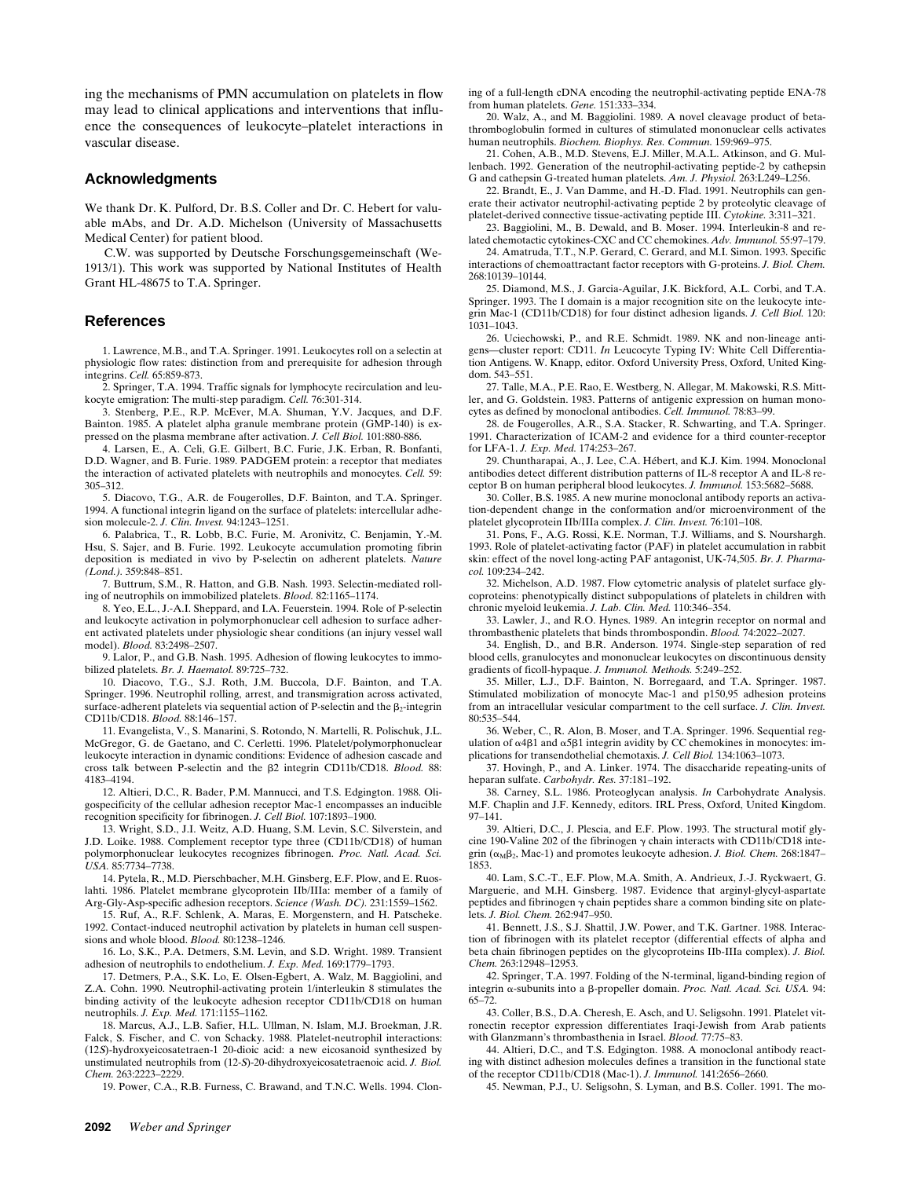ing the mechanisms of PMN accumulation on platelets in flow may lead to clinical applications and interventions that influence the consequences of leukocyte–platelet interactions in vascular disease.

#### **Acknowledgments**

We thank Dr. K. Pulford, Dr. B.S. Coller and Dr. C. Hebert for valuable mAbs, and Dr. A.D. Michelson (University of Massachusetts Medical Center) for patient blood.

C.W. was supported by Deutsche Forschungsgemeinschaft (We-1913/1). This work was supported by National Institutes of Health Grant HL-48675 to T.A. Springer.

#### **References**

1. Lawrence, M.B., and T.A. Springer. 1991. Leukocytes roll on a selectin at physiologic flow rates: distinction from and prerequisite for adhesion through integrins. *Cell.* 65:859-873.

2. Springer, T.A. 1994. Traffic signals for lymphocyte recirculation and leukocyte emigration: The multi-step paradigm. *Cell.* 76:301-314.

3. Stenberg, P.E., R.P. McEver, M.A. Shuman, Y.V. Jacques, and D.F. Bainton. 1985. A platelet alpha granule membrane protein (GMP-140) is expressed on the plasma membrane after activation. *J. Cell Biol.* 101:880-886.

4. Larsen, E., A. Celi, G.E. Gilbert, B.C. Furie, J.K. Erban, R. Bonfanti, D.D. Wagner, and B. Furie. 1989. PADGEM protein: a receptor that mediates the interaction of activated platelets with neutrophils and monocytes. *Cell.* 59: 305–312.

5. Diacovo, T.G., A.R. de Fougerolles, D.F. Bainton, and T.A. Springer. 1994. A functional integrin ligand on the surface of platelets: intercellular adhesion molecule-2. *J. Clin. Invest.* 94:1243–1251.

6. Palabrica, T., R. Lobb, B.C. Furie, M. Aronivitz, C. Benjamin, Y.-M. Hsu, S. Sajer, and B. Furie. 1992. Leukocyte accumulation promoting fibrin deposition is mediated in vivo by P-selectin on adherent platelets. *Nature (Lond.).* 359:848–851.

7. Buttrum, S.M., R. Hatton, and G.B. Nash. 1993. Selectin-mediated rolling of neutrophils on immobilized platelets. *Blood.* 82:1165–1174.

8. Yeo, E.L., J.-A.I. Sheppard, and I.A. Feuerstein. 1994. Role of P-selectin and leukocyte activation in polymorphonuclear cell adhesion to surface adherent activated platelets under physiologic shear conditions (an injury vessel wall model). *Blood.* 83:2498–2507.

9. Lalor, P., and G.B. Nash. 1995. Adhesion of flowing leukocytes to immobilized platelets. *Br. J. Haematol.* 89:725–732.

10. Diacovo, T.G., S.J. Roth, J.M. Buccola, D.F. Bainton, and T.A. Springer. 1996. Neutrophil rolling, arrest, and transmigration across activated, surface-adherent platelets via sequential action of P-selectin and the  $\beta_2$ -integrin CD11b/CD18. *Blood.* 88:146–157.

11. Evangelista, V., S. Manarini, S. Rotondo, N. Martelli, R. Polischuk, J.L. McGregor, G. de Gaetano, and C. Cerletti. 1996. Platelet/polymorphonuclear leukocyte interaction in dynamic conditions: Evidence of adhesion cascade and cross talk between P-selectin and the b2 integrin CD11b/CD18. *Blood.* 88: 4183–4194.

12. Altieri, D.C., R. Bader, P.M. Mannucci, and T.S. Edgington. 1988. Oligospecificity of the cellular adhesion receptor Mac-1 encompasses an inducible recognition specificity for fibrinogen. *J. Cell Biol.* 107:1893–1900.

13. Wright, S.D., J.I. Weitz, A.D. Huang, S.M. Levin, S.C. Silverstein, and J.D. Loike. 1988. Complement receptor type three (CD11b/CD18) of human polymorphonuclear leukocytes recognizes fibrinogen. *Proc. Natl. Acad. Sci. USA.* 85:7734–7738.

14. Pytela, R., M.D. Pierschbacher, M.H. Ginsberg, E.F. Plow, and E. Ruoslahti. 1986. Platelet membrane glycoprotein IIb/IIIa: member of a family of Arg-Gly-Asp-specific adhesion receptors. *Science (Wash. DC).* 231:1559–1562.

15. Ruf, A., R.F. Schlenk, A. Maras, E. Morgenstern, and H. Patscheke. 1992. Contact-induced neutrophil activation by platelets in human cell suspensions and whole blood. *Blood.* 80:1238–1246.

16. Lo, S.K., P.A. Detmers, S.M. Levin, and S.D. Wright. 1989. Transient adhesion of neutrophils to endothelium. *J. Exp. Med.* 169:1779–1793.

17. Detmers, P.A., S.K. Lo, E. Olsen-Egbert, A. Walz, M. Baggiolini, and Z.A. Cohn. 1990. Neutrophil-activating protein 1/interleukin 8 stimulates the binding activity of the leukocyte adhesion receptor CD11b/CD18 on human neutrophils. *J. Exp. Med.* 171:1155–1162.

18. Marcus, A.J., L.B. Safier, H.L. Ullman, N. Islam, M.J. Broekman, J.R. Falck, S. Fischer, and C. von Schacky. 1988. Platelet-neutrophil interactions: (12S)-hydroxyeicosatetraen-1 20-dioic acid: a new eicosanoid synthesized by unstimulated neutrophils from (12-S)-20-dihydroxyeicosatetraenoic acid. *J. Biol. Chem.* 263:2223–2229.

19. Power, C.A., R.B. Furness, C. Brawand, and T.N.C. Wells. 1994. Clon-

ing of a full-length cDNA encoding the neutrophil-activating peptide ENA-78 from human platelets. *Gene.* 151:333–334.

20. Walz, A., and M. Baggiolini. 1989. A novel cleavage product of betathromboglobulin formed in cultures of stimulated mononuclear cells activates human neutrophils. *Biochem. Biophys. Res. Commun.* 159:969–975.

21. Cohen, A.B., M.D. Stevens, E.J. Miller, M.A.L. Atkinson, and G. Mullenbach. 1992. Generation of the neutrophil-activating peptide-2 by cathepsin G and cathepsin G-treated human platelets. *Am. J. Physiol.* 263:L249–L256.

22. Brandt, E., J. Van Damme, and H.-D. Flad. 1991. Neutrophils can generate their activator neutrophil-activating peptide 2 by proteolytic cleavage of platelet-derived connective tissue-activating peptide III. *Cytokine.* 3:311–321.

23. Baggiolini, M., B. Dewald, and B. Moser. 1994. Interleukin-8 and related chemotactic cytokines-CXC and CC chemokines. *Adv. Immunol.* 55:97–179.

24. Amatruda, T.T., N.P. Gerard, C. Gerard, and M.I. Simon. 1993. Specific interactions of chemoattractant factor receptors with G-proteins. *J. Biol. Chem.* 268:10139–10144.

25. Diamond, M.S., J. Garcia-Aguilar, J.K. Bickford, A.L. Corbi, and T.A. Springer. 1993. The I domain is a major recognition site on the leukocyte integrin Mac-1 (CD11b/CD18) for four distinct adhesion ligands. *J. Cell Biol.* 120: 1031–1043.

26. Uciechowski, P., and R.E. Schmidt. 1989. NK and non-lineage antigens—cluster report: CD11. *In* Leucocyte Typing IV: White Cell Differentiation Antigens. W. Knapp, editor. Oxford University Press, Oxford, United Kingdom. 543–551.

27. Talle, M.A., P.E. Rao, E. Westberg, N. Allegar, M. Makowski, R.S. Mittler, and G. Goldstein. 1983. Patterns of antigenic expression on human monocytes as defined by monoclonal antibodies. *Cell. Immunol.* 78:83–99.

28. de Fougerolles, A.R., S.A. Stacker, R. Schwarting, and T.A. Springer. 1991. Characterization of ICAM-2 and evidence for a third counter-receptor for LFA-1. *J. Exp. Med.* 174:253–267.

29. Chuntharapai, A., J. Lee, C.A. Hébert, and K.J. Kim. 1994. Monoclonal antibodies detect different distribution patterns of IL-8 receptor A and IL-8 receptor B on human peripheral blood leukocytes. *J. Immunol.* 153:5682–5688.

30. Coller, B.S. 1985. A new murine monoclonal antibody reports an activation-dependent change in the conformation and/or microenvironment of the platelet glycoprotein IIb/IIIa complex. *J. Clin. Invest.* 76:101–108.

31. Pons, F., A.G. Rossi, K.E. Norman, T.J. Williams, and S. Nourshargh. 1993. Role of platelet-activating factor (PAF) in platelet accumulation in rabbit skin: effect of the novel long-acting PAF antagonist, UK-74,505. *Br. J. Pharmacol.* 109:234–242.

32. Michelson, A.D. 1987. Flow cytometric analysis of platelet surface glycoproteins: phenotypically distinct subpopulations of platelets in children with chronic myeloid leukemia. *J. Lab. Clin. Med.* 110:346–354.

33. Lawler, J., and R.O. Hynes. 1989. An integrin receptor on normal and thrombasthenic platelets that binds thrombospondin. *Blood.* 74:2022–2027.

34. English, D., and B.R. Anderson. 1974. Single-step separation of red blood cells, granulocytes and mononuclear leukocytes on discontinuous density gradients of ficoll-hypaque. *J. Immunol. Methods.* 5:249–252.

35. Miller, L.J., D.F. Bainton, N. Borregaard, and T.A. Springer. 1987. Stimulated mobilization of monocyte Mac-1 and p150,95 adhesion proteins from an intracellular vesicular compartment to the cell surface. *J. Clin. Invest.* 80:535–544.

36. Weber, C., R. Alon, B. Moser, and T.A. Springer. 1996. Sequential regulation of  $\alpha$ 4 $\beta$ 1 and  $\alpha$ 5 $\beta$ 1 integrin avidity by CC chemokines in monocytes: implications for transendothelial chemotaxis. *J. Cell Biol.* 134:1063–1073.

37. Hovingh, P., and A. Linker. 1974. The disaccharide repeating-units of heparan sulfate. *Carbohydr. Res.* 37:181–192.

38. Carney, S.L. 1986. Proteoglycan analysis. *In* Carbohydrate Analysis. M.F. Chaplin and J.F. Kennedy, editors. IRL Press, Oxford, United Kingdom. 97–141.

39. Altieri, D.C., J. Plescia, and E.F. Plow. 1993. The structural motif glycine 190-Valine 202 of the fibrinogen  $\gamma$  chain interacts with CD11b/CD18 integrin  $(\alpha_M\beta_2)$ , Mac-1) and promotes leukocyte adhesion. *J. Biol. Chem.* 268:1847– 1853.

40. Lam, S.C.-T., E.F. Plow, M.A. Smith, A. Andrieux, J.-J. Ryckwaert, G. Marguerie, and M.H. Ginsberg. 1987. Evidence that arginyl-glycyl-aspartate peptides and fibrinogen  $\gamma$  chain peptides share a common binding site on platelets. *J. Biol. Chem.* 262:947–950.

41. Bennett, J.S., S.J. Shattil, J.W. Power, and T.K. Gartner. 1988. Interaction of fibrinogen with its platelet receptor (differential effects of alpha and beta chain fibrinogen peptides on the glycoproteins IIb-IIIa complex). *J. Biol. Chem.* 263:12948–12953.

42. Springer, T.A. 1997. Folding of the N-terminal, ligand-binding region of integrin a-subunits into a b-propeller domain. *Proc. Natl. Acad. Sci. USA.* 94: 65–72.

43. Coller, B.S., D.A. Cheresh, E. Asch, and U. Seligsohn. 1991. Platelet vitronectin receptor expression differentiates Iraqi-Jewish from Arab patients with Glanzmann's thrombasthenia in Israel. *Blood.* 77:75–83.

44. Altieri, D.C., and T.S. Edgington. 1988. A monoclonal antibody reacting with distinct adhesion molecules defines a transition in the functional state of the receptor CD11b/CD18 (Mac-1). *J. Immunol.* 141:2656–2660.

45. Newman, P.J., U. Seligsohn, S. Lyman, and B.S. Coller. 1991. The mo-